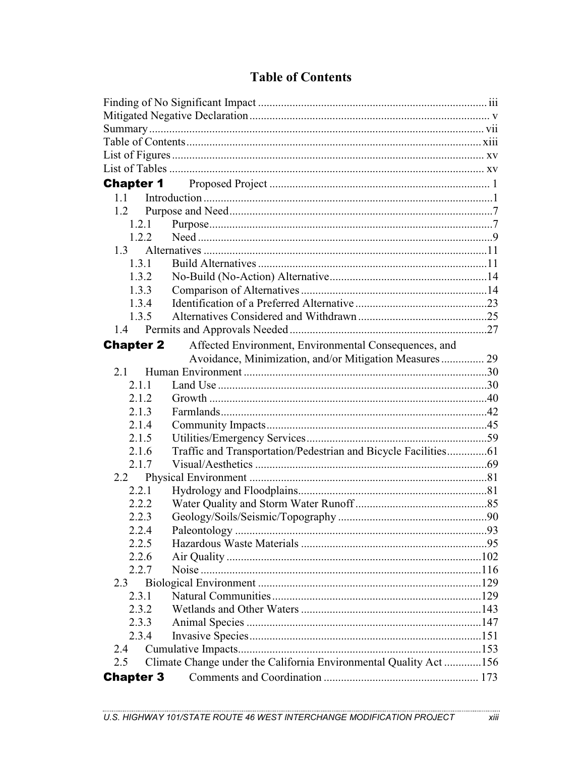| 1.1              |                                                                  |  |
|------------------|------------------------------------------------------------------|--|
| 1.2              |                                                                  |  |
| 1.2.1            |                                                                  |  |
| 1.2.2            |                                                                  |  |
|                  |                                                                  |  |
| 1.3.1            |                                                                  |  |
| 1.3.2            |                                                                  |  |
| 1.3.3            |                                                                  |  |
| 1.3.4            |                                                                  |  |
| 1.3.5            |                                                                  |  |
|                  |                                                                  |  |
| <b>Chapter 2</b> | Affected Environment, Environmental Consequences, and            |  |
|                  | Avoidance, Minimization, and/or Mitigation Measures 29           |  |
| 2.1              |                                                                  |  |
| 2.1.1            |                                                                  |  |
| 2.1.2            |                                                                  |  |
| 2.1.3            |                                                                  |  |
| 2.1.4            |                                                                  |  |
| 2.1.5            |                                                                  |  |
| 2.1.6            | Traffic and Transportation/Pedestrian and Bicycle Facilities61   |  |
| 2.1.7            |                                                                  |  |
| 2.2              |                                                                  |  |
| 2.2.1            |                                                                  |  |
| 2.2.2            |                                                                  |  |
| 2.2.3            |                                                                  |  |
| 2.2.4            |                                                                  |  |
| 2.2.5            |                                                                  |  |
| 2.2.6            |                                                                  |  |
| 2.2.7            |                                                                  |  |
| 2.3              |                                                                  |  |
| 2.3.1            |                                                                  |  |
| 2.3.2            |                                                                  |  |
| 2.3.3            |                                                                  |  |
| 2.3.4            |                                                                  |  |
| 2.4              |                                                                  |  |
| 2.5              | Climate Change under the California Environmental Quality Act156 |  |
| <b>Chapter 3</b> |                                                                  |  |

## **Table of Contents**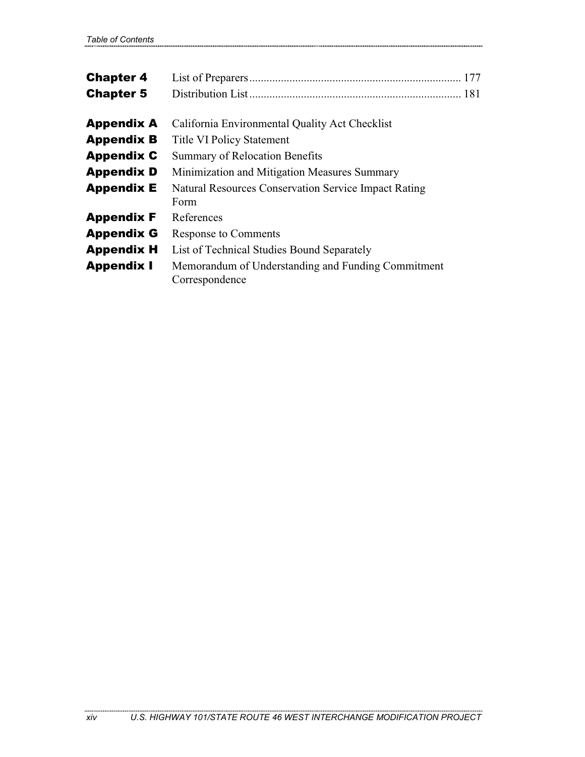| <b>Chapter 4</b><br><b>Chapter 5</b> |                                                                      |
|--------------------------------------|----------------------------------------------------------------------|
| <b>Appendix A</b>                    | California Environmental Quality Act Checklist                       |
| <b>Appendix B</b>                    | <b>Title VI Policy Statement</b>                                     |
| <b>Appendix C</b>                    | <b>Summary of Relocation Benefits</b>                                |
| <b>Appendix D</b>                    | Minimization and Mitigation Measures Summary                         |
| <b>Appendix E</b>                    | <b>Natural Resources Conservation Service Impact Rating</b><br>Form  |
| <b>Appendix F</b>                    | References                                                           |
| <b>Appendix G</b>                    | <b>Response to Comments</b>                                          |
| <b>Appendix H</b>                    | List of Technical Studies Bound Separately                           |
| <b>Appendix I</b>                    | Memorandum of Understanding and Funding Commitment<br>Correspondence |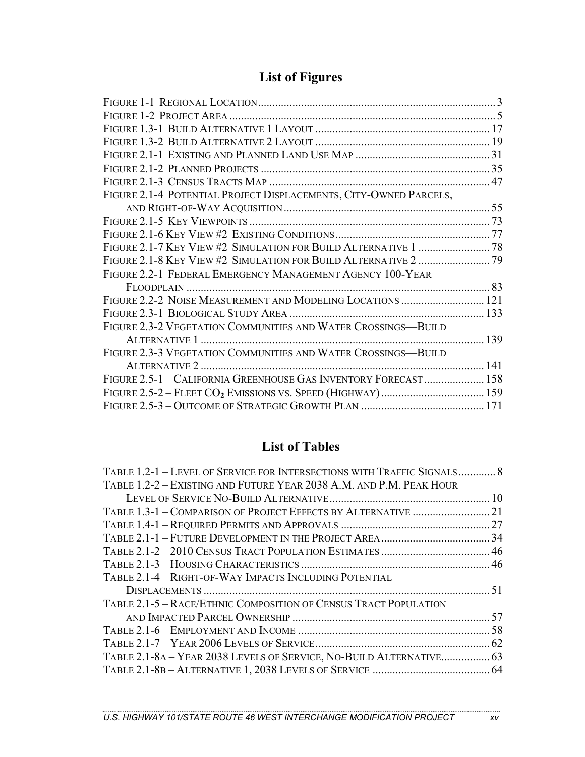## **List of Figures**

| FIGURE 2.1-4 POTENTIAL PROJECT DISPLACEMENTS, CITY-OWNED PARCELS, |  |
|-------------------------------------------------------------------|--|
|                                                                   |  |
|                                                                   |  |
|                                                                   |  |
| FIGURE 2.1-7 KEY VIEW #2 SIMULATION FOR BUILD ALTERNATIVE 1  78   |  |
|                                                                   |  |
| FIGURE 2.2-1 FEDERAL EMERGENCY MANAGEMENT AGENCY 100-YEAR         |  |
|                                                                   |  |
|                                                                   |  |
|                                                                   |  |
| FIGURE 2.3-2 VEGETATION COMMUNITIES AND WATER CROSSINGS-BUILD     |  |
|                                                                   |  |
| FIGURE 2.3-3 VEGETATION COMMUNITIES AND WATER CROSSINGS-BUILD     |  |
|                                                                   |  |
| FIGURE 2.5-1 - CALIFORNIA GREENHOUSE GAS INVENTORY FORECAST 158   |  |
|                                                                   |  |
|                                                                   |  |
|                                                                   |  |

## **List of Tables**

| TABLE 1.2-1 - LEVEL OF SERVICE FOR INTERSECTIONS WITH TRAFFIC SIGNALS 8 |  |
|-------------------------------------------------------------------------|--|
| TABLE 1.2-2 – EXISTING AND FUTURE YEAR 2038 A.M. AND P.M. PEAK HOUR     |  |
|                                                                         |  |
| TABLE 1.3-1 - COMPARISON OF PROJECT EFFECTS BY ALTERNATIVE  21          |  |
|                                                                         |  |
|                                                                         |  |
|                                                                         |  |
|                                                                         |  |
| TABLE 2.1-4 - RIGHT-OF-WAY IMPACTS INCLUDING POTENTIAL                  |  |
|                                                                         |  |
| TABLE 2.1-5 - RACE/ETHNIC COMPOSITION OF CENSUS TRACT POPULATION        |  |
|                                                                         |  |
|                                                                         |  |
|                                                                         |  |
| TABLE 2.1-8A - YEAR 2038 LEVELS OF SERVICE, NO-BUILD ALTERNATIVE 63     |  |
|                                                                         |  |